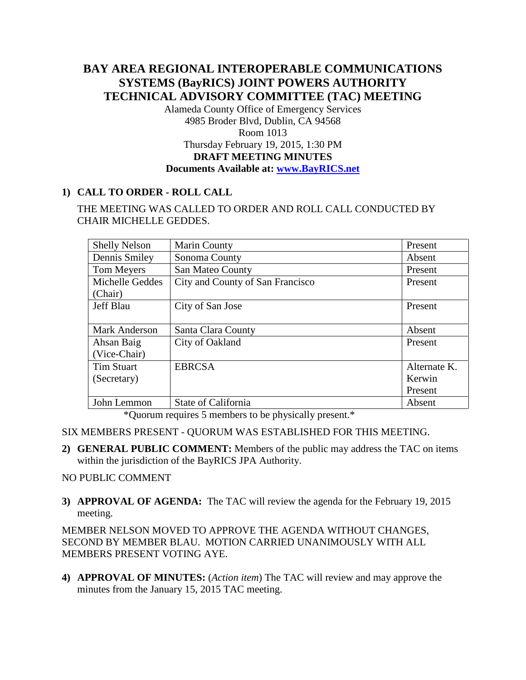# **BAY AREA REGIONAL INTEROPERABLE COMMUNICATIONS SYSTEMS (BayRICS) JOINT POWERS AUTHORITY TECHNICAL ADVISORY COMMITTEE (TAC) MEETING**

Alameda County Office of Emergency Services 4985 Broder Blvd, Dublin, CA 94568 Room 1013 Thursday February 19, 2015, 1:30 PM **DRAFT MEETING MINUTES Documents Available at: [www.BayRICS.net](http://www.bayrics.net/)**

## **1) CALL TO ORDER - ROLL CALL**

THE MEETING WAS CALLED TO ORDER AND ROLL CALL CONDUCTED BY CHAIR MICHELLE GEDDES.

| <b>Shelly Nelson</b> | Marin County                     | Present      |
|----------------------|----------------------------------|--------------|
| Dennis Smiley        | Sonoma County                    | Absent       |
| Tom Meyers           | San Mateo County                 | Present      |
| Michelle Geddes      | City and County of San Francisco | Present      |
| (Chair)              |                                  |              |
| <b>Jeff Blau</b>     | City of San Jose                 | Present      |
|                      |                                  |              |
| <b>Mark Anderson</b> | Santa Clara County               | Absent       |
| Ahsan Baig           | City of Oakland                  | Present      |
| (Vice-Chair)         |                                  |              |
| Tim Stuart           | <b>EBRCSA</b>                    | Alternate K. |
| (Secretary)          |                                  | Kerwin       |
|                      |                                  | Present      |
| John Lemmon          | State of California              | Absent       |

\*Quorum requires 5 members to be physically present.\*

SIX MEMBERS PRESENT - QUORUM WAS ESTABLISHED FOR THIS MEETING.

**2) GENERAL PUBLIC COMMENT:** Members of the public may address the TAC on items within the jurisdiction of the BayRICS JPA Authority.

#### NO PUBLIC COMMENT

**3) APPROVAL OF AGENDA:** The TAC will review the agenda for the February 19, 2015 meeting.

MEMBER NELSON MOVED TO APPROVE THE AGENDA WITHOUT CHANGES, SECOND BY MEMBER BLAU. MOTION CARRIED UNANIMOUSLY WITH ALL MEMBERS PRESENT VOTING AYE.

**4) APPROVAL OF MINUTES:** (*Action item*) The TAC will review and may approve the minutes from the January 15, 2015 TAC meeting.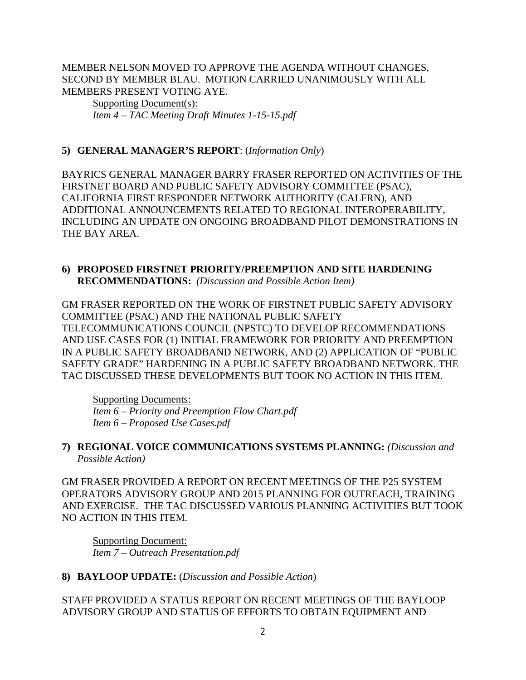MEMBER NELSON MOVED TO APPROVE THE AGENDA WITHOUT CHANGES, SECOND BY MEMBER BLAU. MOTION CARRIED UNANIMOUSLY WITH ALL MEMBERS PRESENT VOTING AYE.

Supporting Document(s): *Item 4 – TAC Meeting Draft Minutes 1-15-15.pdf*

#### **5) GENERAL MANAGER'S REPORT**: (*Information Only*)

BAYRICS GENERAL MANAGER BARRY FRASER REPORTED ON ACTIVITIES OF THE FIRSTNET BOARD AND PUBLIC SAFETY ADVISORY COMMITTEE (PSAC), CALIFORNIA FIRST RESPONDER NETWORK AUTHORITY (CALFRN), AND ADDITIONAL ANNOUNCEMENTS RELATED TO REGIONAL INTEROPERABILITY, INCLUDING AN UPDATE ON ONGOING BROADBAND PILOT DEMONSTRATIONS IN THE BAY AREA.

#### **6) PROPOSED FIRSTNET PRIORITY/PREEMPTION AND SITE HARDENING RECOMMENDATIONS:** *(Discussion and Possible Action Item)*

GM FRASER REPORTED ON THE WORK OF FIRSTNET PUBLIC SAFETY ADVISORY COMMITTEE (PSAC) AND THE NATIONAL PUBLIC SAFETY TELECOMMUNICATIONS COUNCIL (NPSTC) TO DEVELOP RECOMMENDATIONS AND USE CASES FOR (1) INITIAL FRAMEWORK FOR PRIORITY AND PREEMPTION IN A PUBLIC SAFETY BROADBAND NETWORK, AND (2) APPLICATION OF "PUBLIC SAFETY GRADE" HARDENING IN A PUBLIC SAFETY BROADBAND NETWORK. THE TAC DISCUSSED THESE DEVELOPMENTS BUT TOOK NO ACTION IN THIS ITEM.

Supporting Documents: *Item 6 – Priority and Preemption Flow Chart.pdf Item 6 – Proposed Use Cases.pdf*

**7) REGIONAL VOICE COMMUNICATIONS SYSTEMS PLANNING:** *(Discussion and Possible Action)*

GM FRASER PROVIDED A REPORT ON RECENT MEETINGS OF THE P25 SYSTEM OPERATORS ADVISORY GROUP AND 2015 PLANNING FOR OUTREACH, TRAINING AND EXERCISE. THE TAC DISCUSSED VARIOUS PLANNING ACTIVITIES BUT TOOK NO ACTION IN THIS ITEM.

Supporting Document: *Item 7 – Outreach Presentation.pdf*

## **8) BAYLOOP UPDATE:** (*Discussion and Possible Action*)

STAFF PROVIDED A STATUS REPORT ON RECENT MEETINGS OF THE BAYLOOP ADVISORY GROUP AND STATUS OF EFFORTS TO OBTAIN EQUIPMENT AND